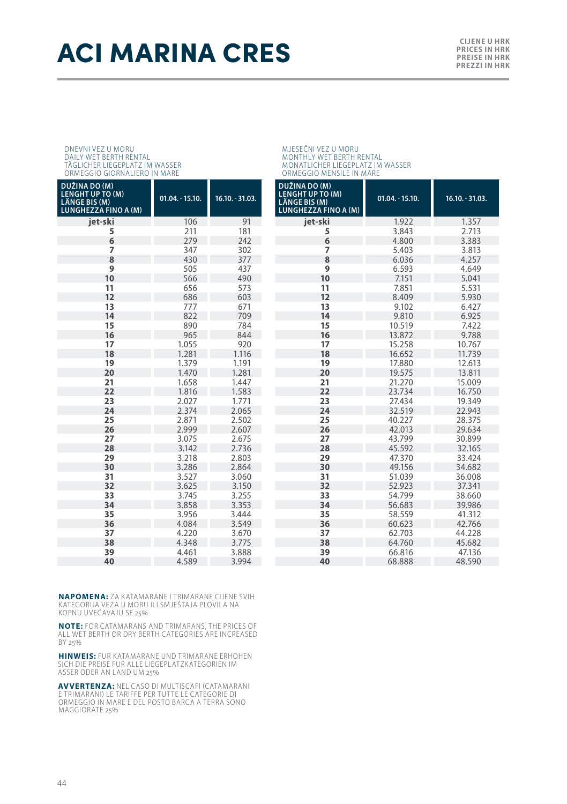## ACI MARINA CRES **CILENE AND ACTRICATE AND ARTICLE AND ACTRICATE OF ALL AND FREEDRING AND ARTICLE AND ARTICLE AND ARTICLE AND ARTICLE AND ARTICLE AND ARTICLE AND ARTICLE AND ARTICLE AND ARTICLE AND ARTICLE AND <b>ARTICLE AND**

**PRICES IN HRK PREISE IN HRK PREZZI IN HRK**

### DNEVNI VEZ U MORU DAILY WET BERTH RENTAL TÄGLICHER LIEGEPLATZ IM WASSER ORMEGGIO GIORNALIERO IN MARE

| DUŽINA DO (M)<br><b>LENGHT UP TO (M)</b><br>LÄNGE BIS (M)<br><b>LUNGHEZZA FINO A (M)</b> | $01.04. - 15.10.$ | $16.10. - 31.03.$ | D<br>LI<br>LÌ<br>Lί |
|------------------------------------------------------------------------------------------|-------------------|-------------------|---------------------|
| jet-ski                                                                                  | 106               | 91                |                     |
| 5                                                                                        | 211               | 181               |                     |
| 6                                                                                        | 279               | 242               |                     |
| 7                                                                                        | 347               | 302               |                     |
| 8                                                                                        | 430               | 377               |                     |
| 9                                                                                        | 505               | 437               |                     |
| 10                                                                                       | 566               | 490               |                     |
| 11                                                                                       | 656               | 573               |                     |
| 12                                                                                       | 686               | 603               |                     |
| 13                                                                                       | 777               | 671               |                     |
| 14                                                                                       | 822               | 709               |                     |
| 15                                                                                       | 890               | 784               |                     |
| 16                                                                                       | 965               | 844               |                     |
| 17                                                                                       | 1.055             | 920               |                     |
| 18                                                                                       | 1.281             | 1.116             |                     |
| 19                                                                                       | 1.379             | 1.191             |                     |
| 20                                                                                       | 1.470             | 1.281             |                     |
| 21                                                                                       | 1.658             | 1.447             |                     |
| 22                                                                                       | 1.816             | 1.583             |                     |
| 23                                                                                       | 2.027             | 1.771             |                     |
| 24                                                                                       | 2.374             | 2.065             |                     |
| 25                                                                                       | 2.871             | 2.502             |                     |
| 26                                                                                       | 2.999             | 2.607             |                     |
| 27                                                                                       | 3.075             | 2.675             |                     |
| 28                                                                                       | 3.142             | 2.736             |                     |
| 29                                                                                       | 3.218             | 2.803             |                     |
| 30                                                                                       | 3.286             | 2.864             |                     |
| 31                                                                                       | 3.527             | 3.060             |                     |
| 32                                                                                       | 3.625             | 3.150             |                     |
| 33                                                                                       | 3.745             | 3.255             |                     |
| 34                                                                                       | 3.858             | 3.353             |                     |
| 35                                                                                       | 3.956             | 3.444             |                     |
| 36                                                                                       | 4.084             | 3.549             |                     |
| 37                                                                                       | 4.220             | 3.670             |                     |
| 38                                                                                       | 4.348             | 3.775             |                     |
| 39                                                                                       | 4.461             | 3.888             |                     |
| 40                                                                                       | 4.589             | 3.994             |                     |

MJESEČNI VEZ U MORU MONTHLY WET BERTH RENTAL MONATLICHER LIEGEPLATZ IM WASSER ORMEGGIO MENSILE IN MARE

| $16.10 - 31.03$ . | DUŽINA DO (M)<br>LENGHT UP TO (M)<br><b>LÄNGE BIS (M)</b><br><b>LUNGHEZZA FINO A (M)</b> | $01.04. - 15.10.$ | 16.10. - 31.03. |  |
|-------------------|------------------------------------------------------------------------------------------|-------------------|-----------------|--|
| 91                | iet-ski                                                                                  | 1.922             | 1.357           |  |
| 181               | 5                                                                                        | 3.843             | 2.713           |  |
| 242               | 6                                                                                        | 4.800             | 3.383           |  |
| 302               | 7                                                                                        | 5.403             | 3.813           |  |
| 377               | 8                                                                                        | 6.036             | 4.257           |  |
| 437               | 9                                                                                        | 6.593             | 4.649           |  |
| 490               | 10                                                                                       | 7.151             | 5.041           |  |
| 573               | 11                                                                                       | 7.851             | 5.531           |  |
| 603               | 12                                                                                       | 8.409             | 5.930           |  |
| 671               | 13                                                                                       | 9.102             | 6.427           |  |
| 709               | 14                                                                                       | 9.810             | 6.925           |  |
| 784               | 15                                                                                       | 10.519            | 7.422           |  |
| 844               | 16                                                                                       | 13.872            | 9.788           |  |
| 920               | 17                                                                                       | 15.258            | 10.767          |  |
| 1.116             | 18                                                                                       | 16.652            | 11.739          |  |
| 1.191             | 19                                                                                       | 17.880            | 12.613          |  |
| 1.281             | 20                                                                                       | 19.575            | 13.811          |  |
| 1.447             | 21                                                                                       | 21.270            | 15.009          |  |
| 1.583             | 22                                                                                       | 23.734            | 16.750          |  |
| 1.771             | 23                                                                                       | 27.434            | 19.349          |  |
| 2.065             | 24                                                                                       | 32.519            | 22.943          |  |
| 2.502             | 25                                                                                       | 40.227            | 28.375          |  |
| 2.607             | 26                                                                                       | 42.013            | 29.634          |  |
| 2.675             | 27                                                                                       | 43.799            | 30.899          |  |
| 2.736             | 28                                                                                       | 45.592            | 32.165          |  |
| 2.803             | 29                                                                                       | 47.370            | 33.424          |  |
| 2.864             | 30                                                                                       | 49.156            | 34.682          |  |
| 3.060             | 31                                                                                       | 51.039            | 36.008          |  |
| 3.150             | 32                                                                                       | 52.923            | 37.341          |  |
| 3.255             | 33                                                                                       | 54.799            | 38.660          |  |
| 3.353             | 34                                                                                       | 56.683            | 39.986          |  |
| 3.444             | 35                                                                                       | 58.559            | 41.312          |  |
| 3.549             | 36                                                                                       | 60.623            | 42.766          |  |
| 3.670             | 37                                                                                       | 62.703            | 44.228          |  |
| 3.775             | 38                                                                                       | 64.760            | 45.682          |  |
| 3.888             | 39                                                                                       | 66.816            | 47.136          |  |
| 3.994             | 40                                                                                       | 68.888            | 48.590          |  |

**NAPOMENA:** ZA KATAMARANE I TRIMARANE CIJENE SVIH<br>KATEGORIJA VEZA U MORU ILI SMJEŠTAJA PLOVILA NA<br>KOPNU UVEĆAVAJU SE 25%

**NOTE:** FOR CATAMARANS AND TRIMARANS, THE PRICES OF ALL WET BERTH OR DRY BERTH CATEGORIES ARE INCREASED BY 25%

**HINWEIS:** FUR KATAMARANE UND TRIMARANE ERHOHEN SICH DIE PREISE FUR ALLE LIEGEPLATZKATEGORIEN IM ASSER ODER AN LAND UM 25%

**AVVERTENZA:** NEL CASO DI MULTISCAFI (CATAMARANI E TRIMARANI) LE TARIFFE PER TUTTE LE CATEGORIE DI<br>ORMEGGIO IN MARE E DEL POSTO BARCA A TERRA SONO MAGGIORATE 25%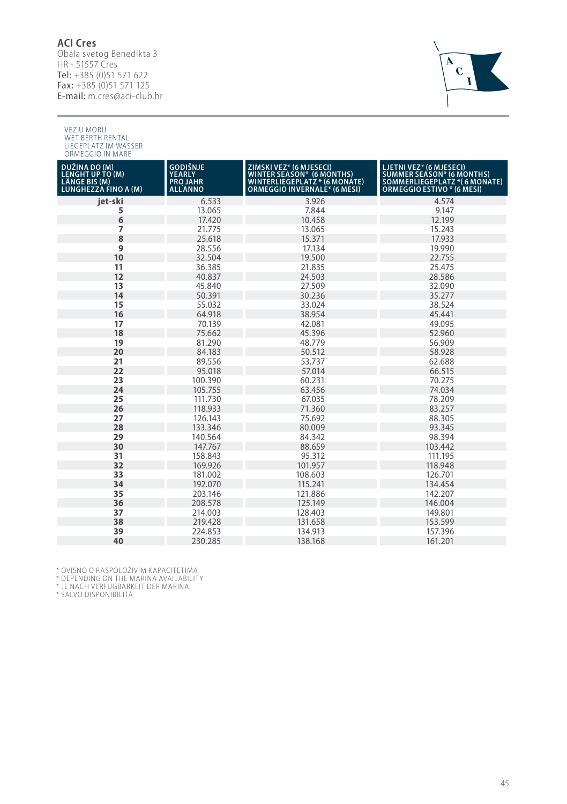### **ACI Cres**

Obala svetog Benedikta 3<br>HR - 51557 Cres<br>**Tel:** +385 (0)51 571 622 Fax: +385 (0)51 571 125 E-mail: m.cres@aci-club.hr



VEZ U MORU WET BERTH RENTAL LIEGEPLATZ IM WASSER ORMEGGIO IN MARE

| DUŽINA DO (M)<br>LENGHT UP TO (M)<br>LÄNGE BIS (M)<br><b>LUNGHEZZA FINO A (M)</b> | GODIŠNJE<br>YEARLY<br><b>PRO JAHR</b><br><b>ALL</b> ANNO | ZIMSKI VEZ* (6 MJESECI)<br>WINTER SEASON* (6 MONTHS)<br>WINTERLIEGEPLATZ * (6 MONATE)<br>ORMEGGIO INVERNALE* (6 MESI) | LJETNI VEZ* (6 MJESECI)<br>SUMMER SEASON* (6 MONTHS)<br>SOMMERLIEGEPLATZ *( 6 MONATE)<br><b>ORMEGGIO ESTIVO * (6 MESI)</b> |
|-----------------------------------------------------------------------------------|----------------------------------------------------------|-----------------------------------------------------------------------------------------------------------------------|----------------------------------------------------------------------------------------------------------------------------|
| jet-ski                                                                           | 6.533                                                    | 3.926                                                                                                                 | 4.574                                                                                                                      |
| 5                                                                                 | 13.065                                                   | 7.844                                                                                                                 | 9.147                                                                                                                      |
| 6                                                                                 | 17.420                                                   | 10.458                                                                                                                | 12.199                                                                                                                     |
| 7                                                                                 | 21.775                                                   | 13.065                                                                                                                | 15.243                                                                                                                     |
| 8                                                                                 | 25.618                                                   | 15.371                                                                                                                | 17.933                                                                                                                     |
| 9                                                                                 | 28.556                                                   | 17.134                                                                                                                | 19.990                                                                                                                     |
| 10                                                                                | 32.504                                                   | 19.500                                                                                                                | 22.755                                                                                                                     |
| 11                                                                                | 36.385                                                   | 21.835                                                                                                                | 25.475                                                                                                                     |
| 12                                                                                | 40.837                                                   | 24.503                                                                                                                | 28.586                                                                                                                     |
| 13                                                                                | 45.840                                                   | 27.509                                                                                                                | 32.090                                                                                                                     |
| 14                                                                                | 50.391                                                   | 30.236                                                                                                                | 35.277                                                                                                                     |
| 15                                                                                | 55.032                                                   | 33.024                                                                                                                | 38.524                                                                                                                     |
| 16                                                                                | 64.918                                                   | 38.954                                                                                                                | 45.441                                                                                                                     |
| 17                                                                                | 70.139                                                   | 42.081                                                                                                                | 49.095                                                                                                                     |
| 18                                                                                | 75.662                                                   | 45.396                                                                                                                | 52.960                                                                                                                     |
| 19                                                                                | 81.290                                                   | 48.779                                                                                                                | 56.909                                                                                                                     |
| 20                                                                                | 84.183                                                   | 50.512                                                                                                                | 58.928                                                                                                                     |
| 21                                                                                | 89.556                                                   | 53.737                                                                                                                | 62.688                                                                                                                     |
| 22                                                                                | 95.018                                                   | 57.014                                                                                                                | 66.515                                                                                                                     |
| 23                                                                                | 100.390                                                  | 60.231                                                                                                                | 70.275                                                                                                                     |
| 24                                                                                | 105.755                                                  | 63.456                                                                                                                | 74.034                                                                                                                     |
| 25                                                                                | 111.730                                                  | 67.035                                                                                                                | 78.209                                                                                                                     |
| 26                                                                                | 118.933                                                  | 71.360                                                                                                                | 83.257                                                                                                                     |
| 27                                                                                | 126.143                                                  | 75.692                                                                                                                | 88.305                                                                                                                     |
| 28                                                                                | 133.346                                                  | 80.009                                                                                                                | 93.345                                                                                                                     |
| 29                                                                                | 140.564                                                  | 84.342                                                                                                                | 98.394                                                                                                                     |
| 30                                                                                | 147.767                                                  | 88.659                                                                                                                | 103.442                                                                                                                    |
| 31                                                                                | 158.843                                                  | 95.312                                                                                                                | 111.195                                                                                                                    |
| 32                                                                                | 169.926                                                  | 101.957                                                                                                               | 118.948                                                                                                                    |
| 33                                                                                | 181.002                                                  | 108.603                                                                                                               | 126.701                                                                                                                    |
| 34                                                                                | 192.070                                                  | 115.241                                                                                                               | 134.454                                                                                                                    |
| 35                                                                                | 203.146                                                  | 121.886                                                                                                               | 142.207                                                                                                                    |
| 36                                                                                | 208.578                                                  | 125.149                                                                                                               | 146.004                                                                                                                    |
| 37                                                                                | 214.003                                                  | 128.403                                                                                                               | 149.801                                                                                                                    |
| 38                                                                                | 219.428                                                  | 131.658                                                                                                               | 153.599                                                                                                                    |
| 39                                                                                | 224.853                                                  | 134.913                                                                                                               | 157.396                                                                                                                    |
| 40                                                                                | 230.285                                                  | 138.168                                                                                                               | 161.201                                                                                                                    |

\* OVISNO O RASPOLOŽIVIM KAPACITETIMA<br>\* DEPENDING ON THE MARINA AVAILABILITY<br>\* JE NACH VERFÜGBARKEIT DER MARINA<br>\* SALVO DISPONIBILITÁ